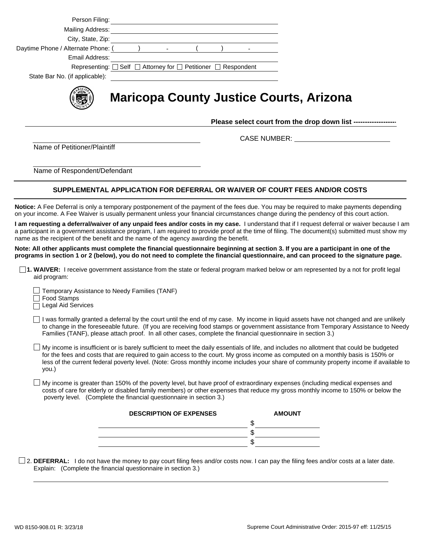| Person Filing:                                                                                                                                                                                     |                                                                                                                                                                                                                                      |                                |  |                                                                                                                                                                                                                                                                                                                                                                                                                                                                                                                                                                                                                                                                                                                       |
|----------------------------------------------------------------------------------------------------------------------------------------------------------------------------------------------------|--------------------------------------------------------------------------------------------------------------------------------------------------------------------------------------------------------------------------------------|--------------------------------|--|-----------------------------------------------------------------------------------------------------------------------------------------------------------------------------------------------------------------------------------------------------------------------------------------------------------------------------------------------------------------------------------------------------------------------------------------------------------------------------------------------------------------------------------------------------------------------------------------------------------------------------------------------------------------------------------------------------------------------|
|                                                                                                                                                                                                    |                                                                                                                                                                                                                                      |                                |  |                                                                                                                                                                                                                                                                                                                                                                                                                                                                                                                                                                                                                                                                                                                       |
|                                                                                                                                                                                                    | Mailing Address: <u>Alexander Address and American and Address and Address and Address and Address and Address and Address and Address and Address and Address and Address and Address and Address and Address and Address and A</u> |                                |  |                                                                                                                                                                                                                                                                                                                                                                                                                                                                                                                                                                                                                                                                                                                       |
|                                                                                                                                                                                                    |                                                                                                                                                                                                                                      |                                |  |                                                                                                                                                                                                                                                                                                                                                                                                                                                                                                                                                                                                                                                                                                                       |
| Daytime Phone / Alternate Phone: (<br>Email Address:                                                                                                                                               |                                                                                                                                                                                                                                      |                                |  |                                                                                                                                                                                                                                                                                                                                                                                                                                                                                                                                                                                                                                                                                                                       |
|                                                                                                                                                                                                    | Representing: $\square$ Self $\square$ Attorney for $\square$ Petitioner $\square$ Respondent                                                                                                                                        |                                |  |                                                                                                                                                                                                                                                                                                                                                                                                                                                                                                                                                                                                                                                                                                                       |
| State Bar No. (if applicable):                                                                                                                                                                     |                                                                                                                                                                                                                                      |                                |  |                                                                                                                                                                                                                                                                                                                                                                                                                                                                                                                                                                                                                                                                                                                       |
|                                                                                                                                                                                                    |                                                                                                                                                                                                                                      |                                |  |                                                                                                                                                                                                                                                                                                                                                                                                                                                                                                                                                                                                                                                                                                                       |
|                                                                                                                                                                                                    |                                                                                                                                                                                                                                      |                                |  | <b>Maricopa County Justice Courts, Arizona</b><br>Please select court from the drop down list ------------------                                                                                                                                                                                                                                                                                                                                                                                                                                                                                                                                                                                                      |
|                                                                                                                                                                                                    |                                                                                                                                                                                                                                      |                                |  | CASE NUMBER: ___________________________                                                                                                                                                                                                                                                                                                                                                                                                                                                                                                                                                                                                                                                                              |
| Name of Petitioner/Plaintiff                                                                                                                                                                       |                                                                                                                                                                                                                                      |                                |  |                                                                                                                                                                                                                                                                                                                                                                                                                                                                                                                                                                                                                                                                                                                       |
|                                                                                                                                                                                                    |                                                                                                                                                                                                                                      |                                |  |                                                                                                                                                                                                                                                                                                                                                                                                                                                                                                                                                                                                                                                                                                                       |
| Name of Respondent/Defendant                                                                                                                                                                       |                                                                                                                                                                                                                                      |                                |  |                                                                                                                                                                                                                                                                                                                                                                                                                                                                                                                                                                                                                                                                                                                       |
|                                                                                                                                                                                                    |                                                                                                                                                                                                                                      |                                |  | SUPPLEMENTAL APPLICATION FOR DEFERRAL OR WAIVER OF COURT FEES AND/OR COSTS                                                                                                                                                                                                                                                                                                                                                                                                                                                                                                                                                                                                                                            |
| name as the recipient of the benefit and the name of the agency awarding the benefit.<br>aid program:<br>Temporary Assistance to Needy Families (TANF)<br>Food Stamps<br><b>Legal Aid Services</b> |                                                                                                                                                                                                                                      |                                |  | I am requesting a deferral/waiver of any unpaid fees and/or costs in my case. I understand that if I request deferral or waiver because I am<br>a participant in a government assistance program, I am required to provide proof at the time of filing. The document(s) submitted must show my<br>Note: All other applicants must complete the financial questionnaire beginning at section 3. If you are a participant in one of the<br>programs in section 1 or 2 (below), you do not need to complete the financial questionnaire, and can proceed to the signature page.<br>1. WAIVER: I receive government assistance from the state or federal program marked below or am represented by a not for profit legal |
|                                                                                                                                                                                                    |                                                                                                                                                                                                                                      |                                |  | I was formally granted a deferral by the court until the end of my case. My income in liquid assets have not changed and are unlikely<br>to change in the foreseeable future. (If you are receiving food stamps or government assistance from Temporary Assistance to Needy<br>Families (TANF), please attach proof. In all other cases, complete the financial questionnaire in section 3.)                                                                                                                                                                                                                                                                                                                          |
|                                                                                                                                                                                                    |                                                                                                                                                                                                                                      |                                |  |                                                                                                                                                                                                                                                                                                                                                                                                                                                                                                                                                                                                                                                                                                                       |
| you.)                                                                                                                                                                                              |                                                                                                                                                                                                                                      |                                |  | My income is insufficient or is barely sufficient to meet the daily essentials of life, and includes no allotment that could be budgeted<br>for the fees and costs that are required to gain access to the court. My gross income as computed on a monthly basis is 150% or<br>less of the current federal poverty level. (Note: Gross monthly income includes your share of community property income if available to                                                                                                                                                                                                                                                                                                |
| poverty level. (Complete the financial questionnaire in section 3.)                                                                                                                                |                                                                                                                                                                                                                                      |                                |  | My income is greater than 150% of the poverty level, but have proof of extraordinary expenses (including medical expenses and<br>costs of care for elderly or disabled family members) or other expenses that reduce my gross monthly income to 150% or below the                                                                                                                                                                                                                                                                                                                                                                                                                                                     |
|                                                                                                                                                                                                    |                                                                                                                                                                                                                                      | <b>DESCRIPTION OF EXPENSES</b> |  | <b>AMOUNT</b>                                                                                                                                                                                                                                                                                                                                                                                                                                                                                                                                                                                                                                                                                                         |
|                                                                                                                                                                                                    |                                                                                                                                                                                                                                      |                                |  | \$                                                                                                                                                                                                                                                                                                                                                                                                                                                                                                                                                                                                                                                                                                                    |
|                                                                                                                                                                                                    |                                                                                                                                                                                                                                      |                                |  | \$                                                                                                                                                                                                                                                                                                                                                                                                                                                                                                                                                                                                                                                                                                                    |
|                                                                                                                                                                                                    |                                                                                                                                                                                                                                      |                                |  | \$                                                                                                                                                                                                                                                                                                                                                                                                                                                                                                                                                                                                                                                                                                                    |
|                                                                                                                                                                                                    |                                                                                                                                                                                                                                      |                                |  | $\Box$ 2. DEFERRAL: I do not have the money to pay court filing fees and/or costs now. I can pay the filing fees and/or costs at a later date.                                                                                                                                                                                                                                                                                                                                                                                                                                                                                                                                                                        |